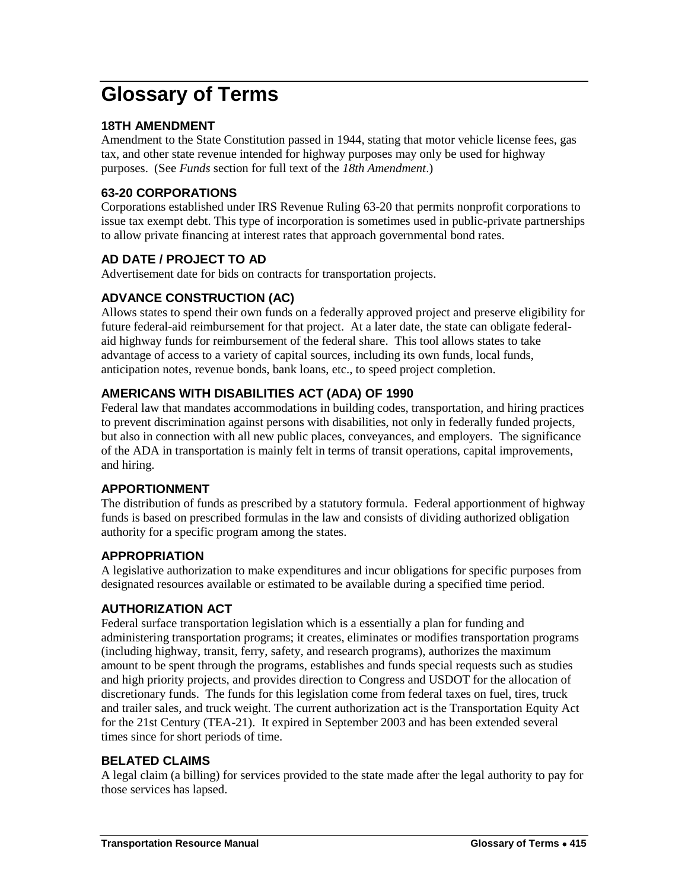# **Glossary of Terms**

## **18TH AMENDMENT**

Amendment to the State Constitution passed in 1944, stating that motor vehicle license fees, gas tax, and other state revenue intended for highway purposes may only be used for highway purposes. (See *Funds* section for full text of the *18th Amendment*.)

## **63-20 CORPORATIONS**

Corporations established under IRS Revenue Ruling 63-20 that permits nonprofit corporations to issue tax exempt debt. This type of incorporation is sometimes used in public-private partnerships to allow private financing at interest rates that approach governmental bond rates.

# **AD DATE / PROJECT TO AD**

Advertisement date for bids on contracts for transportation projects.

# **ADVANCE CONSTRUCTION (AC)**

Allows states to spend their own funds on a federally approved project and preserve eligibility for future federal-aid reimbursement for that project. At a later date, the state can obligate federalaid highway funds for reimbursement of the federal share. This tool allows states to take advantage of access to a variety of capital sources, including its own funds, local funds, anticipation notes, revenue bonds, bank loans, etc., to speed project completion.

# **AMERICANS WITH DISABILITIES ACT (ADA) OF 1990**

Federal law that mandates accommodations in building codes, transportation, and hiring practices to prevent discrimination against persons with disabilities, not only in federally funded projects, but also in connection with all new public places, conveyances, and employers. The significance of the ADA in transportation is mainly felt in terms of transit operations, capital improvements, and hiring.

## **APPORTIONMENT**

The distribution of funds as prescribed by a statutory formula. Federal apportionment of highway funds is based on prescribed formulas in the law and consists of dividing authorized obligation authority for a specific program among the states.

## **APPROPRIATION**

A legislative authorization to make expenditures and incur obligations for specific purposes from designated resources available or estimated to be available during a specified time period.

## **AUTHORIZATION ACT**

Federal surface transportation legislation which is a essentially a plan for funding and administering transportation programs; it creates, eliminates or modifies transportation programs (including highway, transit, ferry, safety, and research programs), authorizes the maximum amount to be spent through the programs, establishes and funds special requests such as studies and high priority projects, and provides direction to Congress and USDOT for the allocation of discretionary funds. The funds for this legislation come from federal taxes on fuel, tires, truck and trailer sales, and truck weight. The current authorization act is the Transportation Equity Act for the 21st Century (TEA-21). It expired in September 2003 and has been extended several times since for short periods of time.

## **BELATED CLAIMS**

A legal claim (a billing) for services provided to the state made after the legal authority to pay for those services has lapsed.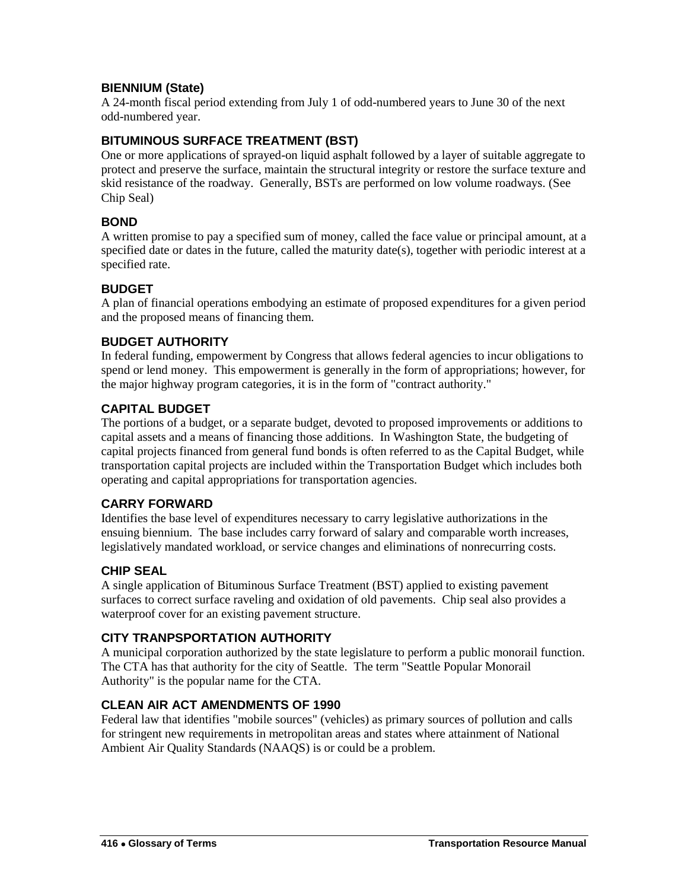## **BIENNIUM (State)**

A 24-month fiscal period extending from July 1 of odd-numbered years to June 30 of the next odd-numbered year.

## **BITUMINOUS SURFACE TREATMENT (BST)**

One or more applications of sprayed-on liquid asphalt followed by a layer of suitable aggregate to protect and preserve the surface, maintain the structural integrity or restore the surface texture and skid resistance of the roadway. Generally, BSTs are performed on low volume roadways. (See Chip Seal)

#### **BOND**

A written promise to pay a specified sum of money, called the face value or principal amount, at a specified date or dates in the future, called the maturity date(s), together with periodic interest at a specified rate.

## **BUDGET**

A plan of financial operations embodying an estimate of proposed expenditures for a given period and the proposed means of financing them.

#### **BUDGET AUTHORITY**

In federal funding, empowerment by Congress that allows federal agencies to incur obligations to spend or lend money. This empowerment is generally in the form of appropriations; however, for the major highway program categories, it is in the form of "contract authority."

## **CAPITAL BUDGET**

The portions of a budget, or a separate budget, devoted to proposed improvements or additions to capital assets and a means of financing those additions. In Washington State, the budgeting of capital projects financed from general fund bonds is often referred to as the Capital Budget, while transportation capital projects are included within the Transportation Budget which includes both operating and capital appropriations for transportation agencies.

#### **CARRY FORWARD**

Identifies the base level of expenditures necessary to carry legislative authorizations in the ensuing biennium. The base includes carry forward of salary and comparable worth increases, legislatively mandated workload, or service changes and eliminations of nonrecurring costs.

#### **CHIP SEAL**

A single application of Bituminous Surface Treatment (BST) applied to existing pavement surfaces to correct surface raveling and oxidation of old pavements. Chip seal also provides a waterproof cover for an existing pavement structure.

#### **CITY TRANPSPORTATION AUTHORITY**

A municipal corporation authorized by the state legislature to perform a public monorail function. The CTA has that authority for the city of Seattle. The term "Seattle Popular Monorail Authority" is the popular name for the CTA.

#### **CLEAN AIR ACT AMENDMENTS OF 1990**

Federal law that identifies "mobile sources" (vehicles) as primary sources of pollution and calls for stringent new requirements in metropolitan areas and states where attainment of National Ambient Air Quality Standards (NAAQS) is or could be a problem.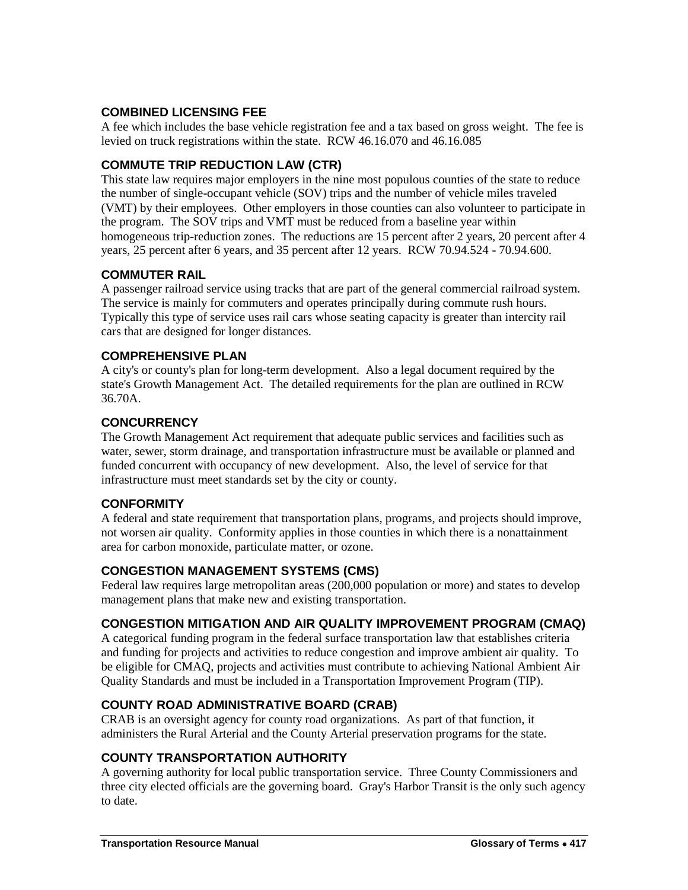## **COMBINED LICENSING FEE**

A fee which includes the base vehicle registration fee and a tax based on gross weight. The fee is levied on truck registrations within the state. RCW 46.16.070 and 46.16.085

## **COMMUTE TRIP REDUCTION LAW (CTR)**

This state law requires major employers in the nine most populous counties of the state to reduce the number of single-occupant vehicle (SOV) trips and the number of vehicle miles traveled (VMT) by their employees. Other employers in those counties can also volunteer to participate in the program. The SOV trips and VMT must be reduced from a baseline year within homogeneous trip-reduction zones. The reductions are 15 percent after 2 years, 20 percent after 4 years, 25 percent after 6 years, and 35 percent after 12 years. RCW 70.94.524 - 70.94.600.

#### **COMMUTER RAIL**

A passenger railroad service using tracks that are part of the general commercial railroad system. The service is mainly for commuters and operates principally during commute rush hours. Typically this type of service uses rail cars whose seating capacity is greater than intercity rail cars that are designed for longer distances.

#### **COMPREHENSIVE PLAN**

A city's or county's plan for long-term development. Also a legal document required by the state's Growth Management Act. The detailed requirements for the plan are outlined in RCW 36.70A.

#### **CONCURRENCY**

The Growth Management Act requirement that adequate public services and facilities such as water, sewer, storm drainage, and transportation infrastructure must be available or planned and funded concurrent with occupancy of new development. Also, the level of service for that infrastructure must meet standards set by the city or county.

#### **CONFORMITY**

A federal and state requirement that transportation plans, programs, and projects should improve, not worsen air quality. Conformity applies in those counties in which there is a nonattainment area for carbon monoxide, particulate matter, or ozone.

#### **CONGESTION MANAGEMENT SYSTEMS (CMS)**

Federal law requires large metropolitan areas (200,000 population or more) and states to develop management plans that make new and existing transportation.

#### **CONGESTION MITIGATION AND AIR QUALITY IMPROVEMENT PROGRAM (CMAQ)**

A categorical funding program in the federal surface transportation law that establishes criteria and funding for projects and activities to reduce congestion and improve ambient air quality. To be eligible for CMAQ, projects and activities must contribute to achieving National Ambient Air Quality Standards and must be included in a Transportation Improvement Program (TIP).

#### **COUNTY ROAD ADMINISTRATIVE BOARD (CRAB)**

CRAB is an oversight agency for county road organizations. As part of that function, it administers the Rural Arterial and the County Arterial preservation programs for the state.

#### **COUNTY TRANSPORTATION AUTHORITY**

A governing authority for local public transportation service. Three County Commissioners and three city elected officials are the governing board. Gray's Harbor Transit is the only such agency to date.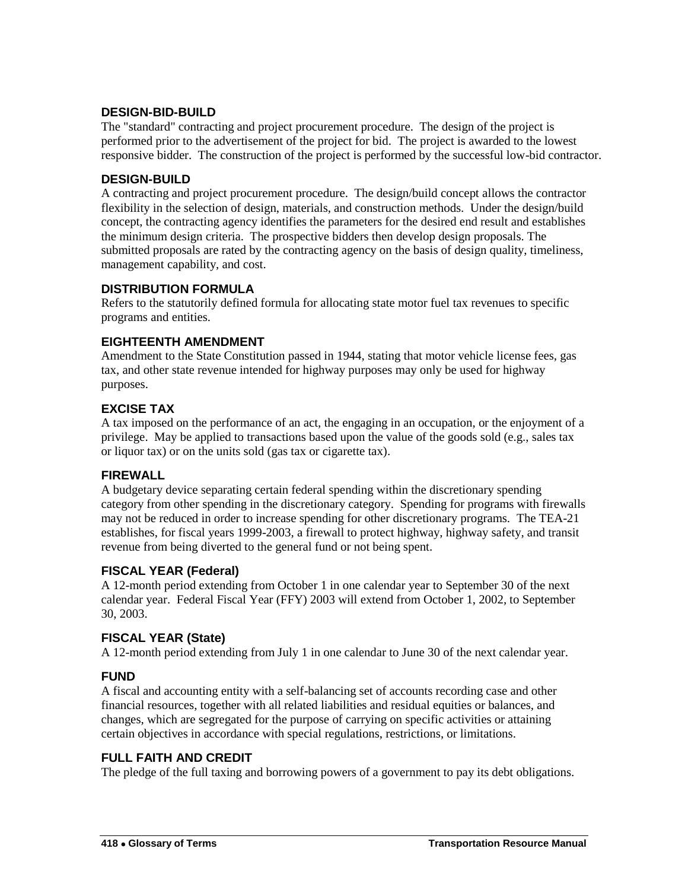#### **DESIGN-BID-BUILD**

The "standard" contracting and project procurement procedure. The design of the project is performed prior to the advertisement of the project for bid. The project is awarded to the lowest responsive bidder. The construction of the project is performed by the successful low-bid contractor.

#### **DESIGN-BUILD**

A contracting and project procurement procedure. The design/build concept allows the contractor flexibility in the selection of design, materials, and construction methods. Under the design/build concept, the contracting agency identifies the parameters for the desired end result and establishes the minimum design criteria. The prospective bidders then develop design proposals. The submitted proposals are rated by the contracting agency on the basis of design quality, timeliness, management capability, and cost.

## **DISTRIBUTION FORMULA**

Refers to the statutorily defined formula for allocating state motor fuel tax revenues to specific programs and entities.

## **EIGHTEENTH AMENDMENT**

Amendment to the State Constitution passed in 1944, stating that motor vehicle license fees, gas tax, and other state revenue intended for highway purposes may only be used for highway purposes.

## **EXCISE TAX**

A tax imposed on the performance of an act, the engaging in an occupation, or the enjoyment of a privilege. May be applied to transactions based upon the value of the goods sold (e.g., sales tax or liquor tax) or on the units sold (gas tax or cigarette tax).

#### **FIREWALL**

A budgetary device separating certain federal spending within the discretionary spending category from other spending in the discretionary category. Spending for programs with firewalls may not be reduced in order to increase spending for other discretionary programs. The TEA-21 establishes, for fiscal years 1999-2003, a firewall to protect highway, highway safety, and transit revenue from being diverted to the general fund or not being spent.

#### **FISCAL YEAR (Federal)**

A 12-month period extending from October 1 in one calendar year to September 30 of the next calendar year. Federal Fiscal Year (FFY) 2003 will extend from October 1, 2002, to September 30, 2003.

## **FISCAL YEAR (State)**

A 12-month period extending from July 1 in one calendar to June 30 of the next calendar year.

#### **FUND**

A fiscal and accounting entity with a self-balancing set of accounts recording case and other financial resources, together with all related liabilities and residual equities or balances, and changes, which are segregated for the purpose of carrying on specific activities or attaining certain objectives in accordance with special regulations, restrictions, or limitations.

#### **FULL FAITH AND CREDIT**

The pledge of the full taxing and borrowing powers of a government to pay its debt obligations.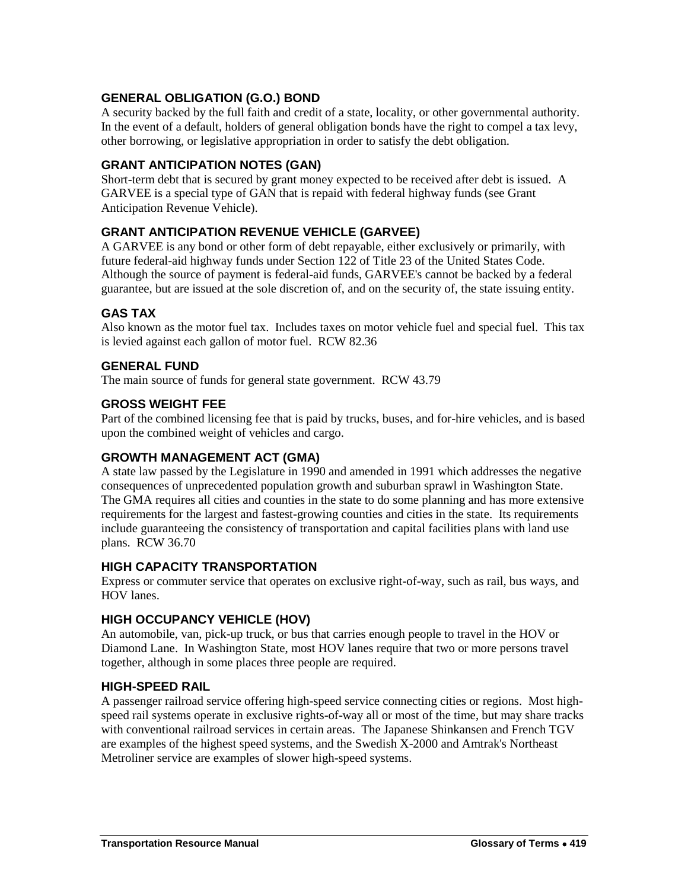## **GENERAL OBLIGATION (G.O.) BOND**

A security backed by the full faith and credit of a state, locality, or other governmental authority. In the event of a default, holders of general obligation bonds have the right to compel a tax levy, other borrowing, or legislative appropriation in order to satisfy the debt obligation.

## **GRANT ANTICIPATION NOTES (GAN)**

Short-term debt that is secured by grant money expected to be received after debt is issued. A GARVEE is a special type of GAN that is repaid with federal highway funds (see Grant Anticipation Revenue Vehicle).

## **GRANT ANTICIPATION REVENUE VEHICLE (GARVEE)**

A GARVEE is any bond or other form of debt repayable, either exclusively or primarily, with future federal-aid highway funds under Section 122 of Title 23 of the United States Code. Although the source of payment is federal-aid funds, GARVEE's cannot be backed by a federal guarantee, but are issued at the sole discretion of, and on the security of, the state issuing entity.

#### **GAS TAX**

Also known as the motor fuel tax. Includes taxes on motor vehicle fuel and special fuel. This tax is levied against each gallon of motor fuel. RCW 82.36

#### **GENERAL FUND**

The main source of funds for general state government. RCW 43.79

#### **GROSS WEIGHT FEE**

Part of the combined licensing fee that is paid by trucks, buses, and for-hire vehicles, and is based upon the combined weight of vehicles and cargo.

#### **GROWTH MANAGEMENT ACT (GMA)**

A state law passed by the Legislature in 1990 and amended in 1991 which addresses the negative consequences of unprecedented population growth and suburban sprawl in Washington State. The GMA requires all cities and counties in the state to do some planning and has more extensive requirements for the largest and fastest-growing counties and cities in the state. Its requirements include guaranteeing the consistency of transportation and capital facilities plans with land use plans. RCW 36.70

#### **HIGH CAPACITY TRANSPORTATION**

Express or commuter service that operates on exclusive right-of-way, such as rail, bus ways, and HOV lanes.

#### **HIGH OCCUPANCY VEHICLE (HOV)**

An automobile, van, pick-up truck, or bus that carries enough people to travel in the HOV or Diamond Lane. In Washington State, most HOV lanes require that two or more persons travel together, although in some places three people are required.

#### **HIGH-SPEED RAIL**

A passenger railroad service offering high-speed service connecting cities or regions. Most highspeed rail systems operate in exclusive rights-of-way all or most of the time, but may share tracks with conventional railroad services in certain areas. The Japanese Shinkansen and French TGV are examples of the highest speed systems, and the Swedish X-2000 and Amtrak's Northeast Metroliner service are examples of slower high-speed systems.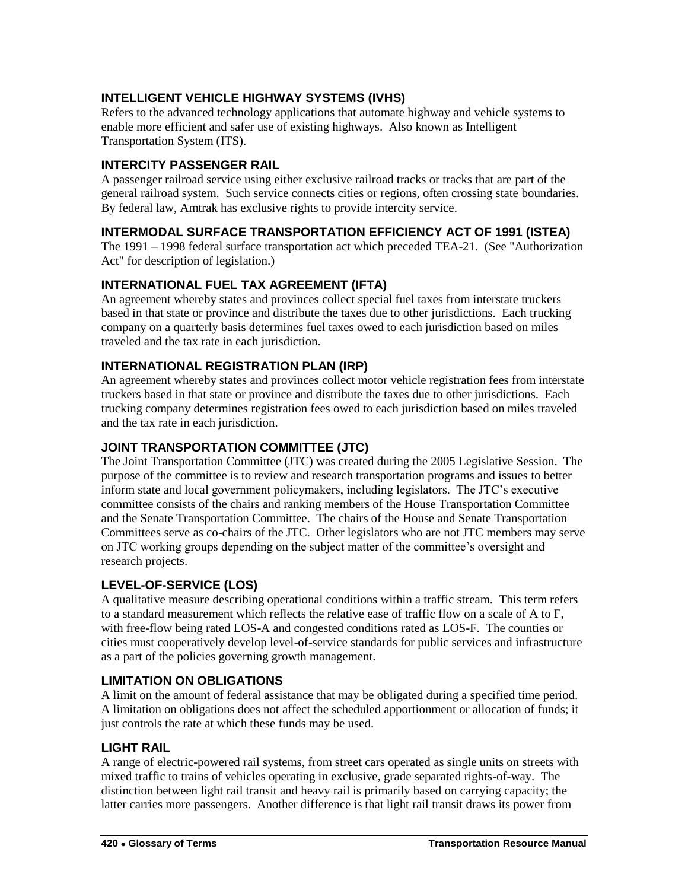## **INTELLIGENT VEHICLE HIGHWAY SYSTEMS (IVHS)**

Refers to the advanced technology applications that automate highway and vehicle systems to enable more efficient and safer use of existing highways. Also known as Intelligent Transportation System (ITS).

## **INTERCITY PASSENGER RAIL**

A passenger railroad service using either exclusive railroad tracks or tracks that are part of the general railroad system. Such service connects cities or regions, often crossing state boundaries. By federal law, Amtrak has exclusive rights to provide intercity service.

## **INTERMODAL SURFACE TRANSPORTATION EFFICIENCY ACT OF 1991 (ISTEA)**

The 1991 – 1998 federal surface transportation act which preceded TEA-21. (See "Authorization Act" for description of legislation.)

## **INTERNATIONAL FUEL TAX AGREEMENT (IFTA)**

An agreement whereby states and provinces collect special fuel taxes from interstate truckers based in that state or province and distribute the taxes due to other jurisdictions. Each trucking company on a quarterly basis determines fuel taxes owed to each jurisdiction based on miles traveled and the tax rate in each jurisdiction.

## **INTERNATIONAL REGISTRATION PLAN (IRP)**

An agreement whereby states and provinces collect motor vehicle registration fees from interstate truckers based in that state or province and distribute the taxes due to other jurisdictions. Each trucking company determines registration fees owed to each jurisdiction based on miles traveled and the tax rate in each jurisdiction.

## **JOINT TRANSPORTATION COMMITTEE (JTC)**

The Joint Transportation Committee (JTC) was created during the 2005 Legislative Session. The purpose of the committee is to review and research transportation programs and issues to better inform state and local government policymakers, including legislators. The JTC's executive committee consists of the chairs and ranking members of the House Transportation Committee and the Senate Transportation Committee. The chairs of the House and Senate Transportation Committees serve as co-chairs of the JTC. Other legislators who are not JTC members may serve on JTC working groups depending on the subject matter of the committee's oversight and research projects.

## **LEVEL-OF-SERVICE (LOS)**

A qualitative measure describing operational conditions within a traffic stream. This term refers to a standard measurement which reflects the relative ease of traffic flow on a scale of A to F, with free-flow being rated LOS-A and congested conditions rated as LOS-F. The counties or cities must cooperatively develop level-of-service standards for public services and infrastructure as a part of the policies governing growth management.

#### **LIMITATION ON OBLIGATIONS**

A limit on the amount of federal assistance that may be obligated during a specified time period. A limitation on obligations does not affect the scheduled apportionment or allocation of funds; it just controls the rate at which these funds may be used.

#### **LIGHT RAIL**

A range of electric-powered rail systems, from street cars operated as single units on streets with mixed traffic to trains of vehicles operating in exclusive, grade separated rights-of-way. The distinction between light rail transit and heavy rail is primarily based on carrying capacity; the latter carries more passengers. Another difference is that light rail transit draws its power from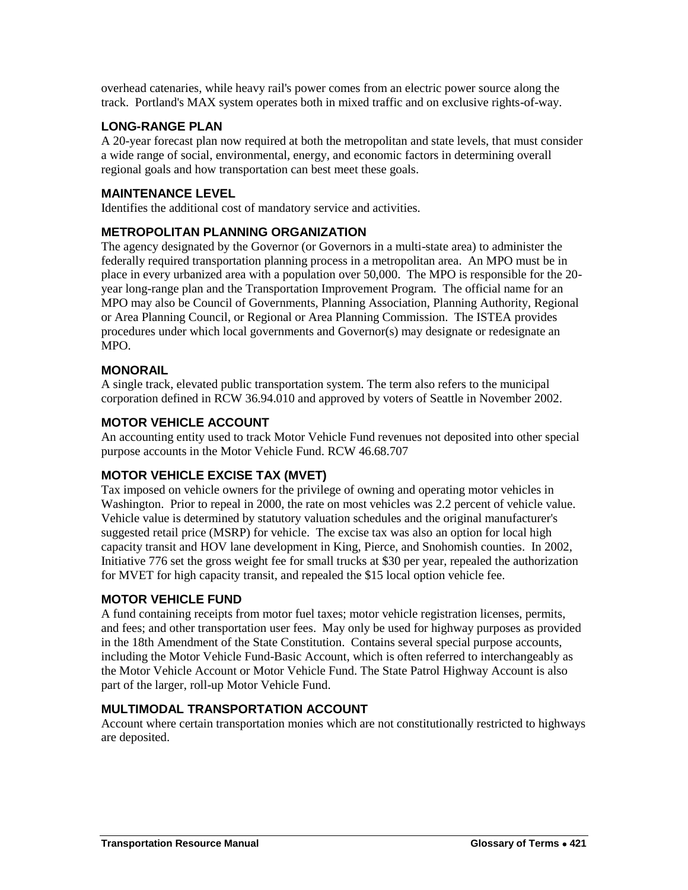overhead catenaries, while heavy rail's power comes from an electric power source along the track. Portland's MAX system operates both in mixed traffic and on exclusive rights-of-way.

## **LONG-RANGE PLAN**

A 20-year forecast plan now required at both the metropolitan and state levels, that must consider a wide range of social, environmental, energy, and economic factors in determining overall regional goals and how transportation can best meet these goals.

## **MAINTENANCE LEVEL**

Identifies the additional cost of mandatory service and activities.

## **METROPOLITAN PLANNING ORGANIZATION**

The agency designated by the Governor (or Governors in a multi-state area) to administer the federally required transportation planning process in a metropolitan area. An MPO must be in place in every urbanized area with a population over 50,000. The MPO is responsible for the 20 year long-range plan and the Transportation Improvement Program. The official name for an MPO may also be Council of Governments, Planning Association, Planning Authority, Regional or Area Planning Council, or Regional or Area Planning Commission. The ISTEA provides procedures under which local governments and Governor(s) may designate or redesignate an MPO.

## **MONORAIL**

A single track, elevated public transportation system. The term also refers to the municipal corporation defined in RCW 36.94.010 and approved by voters of Seattle in November 2002.

#### **MOTOR VEHICLE ACCOUNT**

An accounting entity used to track Motor Vehicle Fund revenues not deposited into other special purpose accounts in the Motor Vehicle Fund. RCW 46.68.707

#### **MOTOR VEHICLE EXCISE TAX (MVET)**

Tax imposed on vehicle owners for the privilege of owning and operating motor vehicles in Washington. Prior to repeal in 2000, the rate on most vehicles was 2.2 percent of vehicle value. Vehicle value is determined by statutory valuation schedules and the original manufacturer's suggested retail price (MSRP) for vehicle. The excise tax was also an option for local high capacity transit and HOV lane development in King, Pierce, and Snohomish counties. In 2002, Initiative 776 set the gross weight fee for small trucks at \$30 per year, repealed the authorization for MVET for high capacity transit, and repealed the \$15 local option vehicle fee.

#### **MOTOR VEHICLE FUND**

A fund containing receipts from motor fuel taxes; motor vehicle registration licenses, permits, and fees; and other transportation user fees. May only be used for highway purposes as provided in the 18th Amendment of the State Constitution. Contains several special purpose accounts, including the Motor Vehicle Fund-Basic Account, which is often referred to interchangeably as the Motor Vehicle Account or Motor Vehicle Fund. The State Patrol Highway Account is also part of the larger, roll-up Motor Vehicle Fund.

#### **MULTIMODAL TRANSPORTATION ACCOUNT**

Account where certain transportation monies which are not constitutionally restricted to highways are deposited.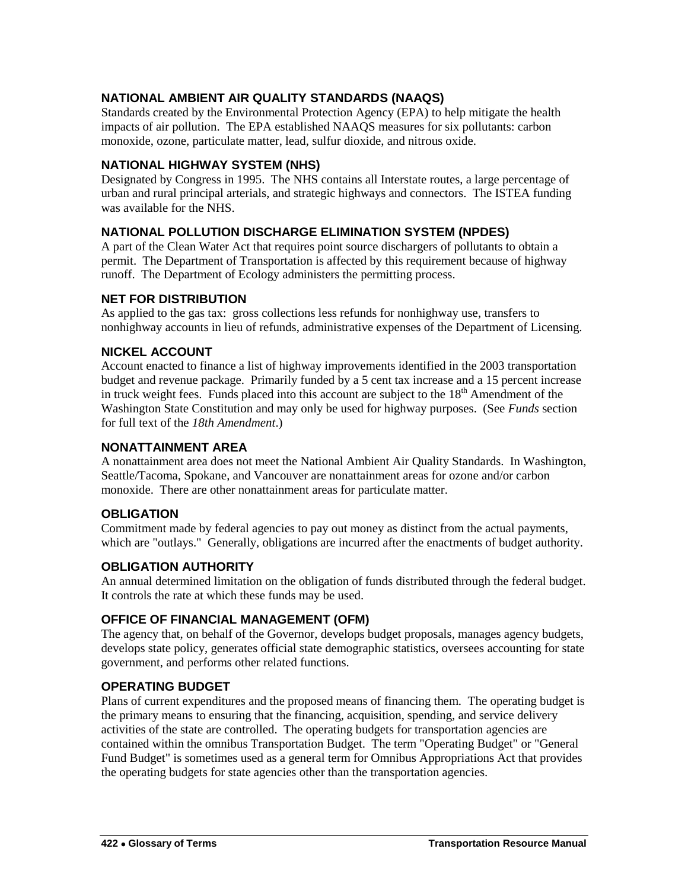## **NATIONAL AMBIENT AIR QUALITY STANDARDS (NAAQS)**

Standards created by the Environmental Protection Agency (EPA) to help mitigate the health impacts of air pollution. The EPA established NAAQS measures for six pollutants: carbon monoxide, ozone, particulate matter, lead, sulfur dioxide, and nitrous oxide.

#### **NATIONAL HIGHWAY SYSTEM (NHS)**

Designated by Congress in 1995. The NHS contains all Interstate routes, a large percentage of urban and rural principal arterials, and strategic highways and connectors. The ISTEA funding was available for the NHS.

#### **NATIONAL POLLUTION DISCHARGE ELIMINATION SYSTEM (NPDES)**

A part of the Clean Water Act that requires point source dischargers of pollutants to obtain a permit. The Department of Transportation is affected by this requirement because of highway runoff. The Department of Ecology administers the permitting process.

#### **NET FOR DISTRIBUTION**

As applied to the gas tax: gross collections less refunds for nonhighway use, transfers to nonhighway accounts in lieu of refunds, administrative expenses of the Department of Licensing.

#### **NICKEL ACCOUNT**

Account enacted to finance a list of highway improvements identified in the 2003 transportation budget and revenue package. Primarily funded by a 5 cent tax increase and a 15 percent increase in truck weight fees. Funds placed into this account are subject to the  $18<sup>th</sup>$  Amendment of the Washington State Constitution and may only be used for highway purposes. (See *Funds* section for full text of the *18th Amendment*.)

#### **NONATTAINMENT AREA**

A nonattainment area does not meet the National Ambient Air Quality Standards. In Washington, Seattle/Tacoma, Spokane, and Vancouver are nonattainment areas for ozone and/or carbon monoxide. There are other nonattainment areas for particulate matter.

#### **OBLIGATION**

Commitment made by federal agencies to pay out money as distinct from the actual payments, which are "outlays." Generally, obligations are incurred after the enactments of budget authority.

#### **OBLIGATION AUTHORITY**

An annual determined limitation on the obligation of funds distributed through the federal budget. It controls the rate at which these funds may be used.

#### **OFFICE OF FINANCIAL MANAGEMENT (OFM)**

The agency that, on behalf of the Governor, develops budget proposals, manages agency budgets, develops state policy, generates official state demographic statistics, oversees accounting for state government, and performs other related functions.

#### **OPERATING BUDGET**

Plans of current expenditures and the proposed means of financing them. The operating budget is the primary means to ensuring that the financing, acquisition, spending, and service delivery activities of the state are controlled. The operating budgets for transportation agencies are contained within the omnibus Transportation Budget. The term "Operating Budget" or "General Fund Budget" is sometimes used as a general term for Omnibus Appropriations Act that provides the operating budgets for state agencies other than the transportation agencies.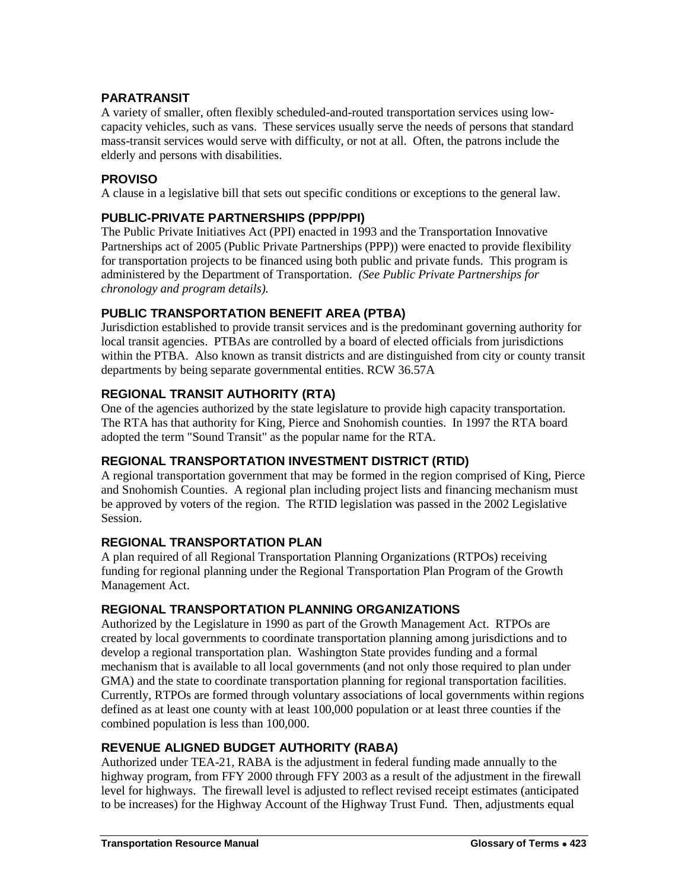## **PARATRANSIT**

A variety of smaller, often flexibly scheduled-and-routed transportation services using lowcapacity vehicles, such as vans. These services usually serve the needs of persons that standard mass-transit services would serve with difficulty, or not at all. Often, the patrons include the elderly and persons with disabilities.

## **PROVISO**

A clause in a legislative bill that sets out specific conditions or exceptions to the general law.

## **PUBLIC-PRIVATE PARTNERSHIPS (PPP/PPI)**

The Public Private Initiatives Act (PPI) enacted in 1993 and the Transportation Innovative Partnerships act of 2005 (Public Private Partnerships (PPP)) were enacted to provide flexibility for transportation projects to be financed using both public and private funds. This program is administered by the Department of Transportation. *(See Public Private Partnerships for chronology and program details).*

## **PUBLIC TRANSPORTATION BENEFIT AREA (PTBA)**

Jurisdiction established to provide transit services and is the predominant governing authority for local transit agencies. PTBAs are controlled by a board of elected officials from jurisdictions within the PTBA. Also known as transit districts and are distinguished from city or county transit departments by being separate governmental entities. RCW 36.57A

## **REGIONAL TRANSIT AUTHORITY (RTA)**

One of the agencies authorized by the state legislature to provide high capacity transportation. The RTA has that authority for King, Pierce and Snohomish counties. In 1997 the RTA board adopted the term "Sound Transit" as the popular name for the RTA.

#### **REGIONAL TRANSPORTATION INVESTMENT DISTRICT (RTID)**

A regional transportation government that may be formed in the region comprised of King, Pierce and Snohomish Counties. A regional plan including project lists and financing mechanism must be approved by voters of the region. The RTID legislation was passed in the 2002 Legislative Session.

#### **REGIONAL TRANSPORTATION PLAN**

A plan required of all Regional Transportation Planning Organizations (RTPOs) receiving funding for regional planning under the Regional Transportation Plan Program of the Growth Management Act.

## **REGIONAL TRANSPORTATION PLANNING ORGANIZATIONS**

Authorized by the Legislature in 1990 as part of the Growth Management Act. RTPOs are created by local governments to coordinate transportation planning among jurisdictions and to develop a regional transportation plan. Washington State provides funding and a formal mechanism that is available to all local governments (and not only those required to plan under GMA) and the state to coordinate transportation planning for regional transportation facilities. Currently, RTPOs are formed through voluntary associations of local governments within regions defined as at least one county with at least 100,000 population or at least three counties if the combined population is less than 100,000.

## **REVENUE ALIGNED BUDGET AUTHORITY (RABA)**

Authorized under TEA-21, RABA is the adjustment in federal funding made annually to the highway program, from FFY 2000 through FFY 2003 as a result of the adjustment in the firewall level for highways. The firewall level is adjusted to reflect revised receipt estimates (anticipated to be increases) for the Highway Account of the Highway Trust Fund. Then, adjustments equal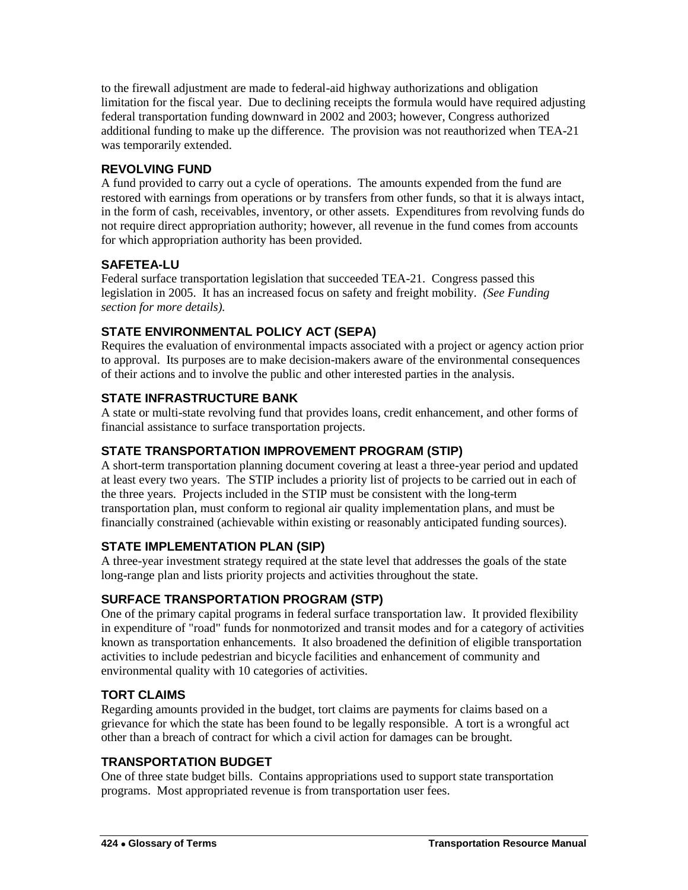to the firewall adjustment are made to federal-aid highway authorizations and obligation limitation for the fiscal year. Due to declining receipts the formula would have required adjusting federal transportation funding downward in 2002 and 2003; however, Congress authorized additional funding to make up the difference. The provision was not reauthorized when TEA-21 was temporarily extended.

## **REVOLVING FUND**

A fund provided to carry out a cycle of operations. The amounts expended from the fund are restored with earnings from operations or by transfers from other funds, so that it is always intact, in the form of cash, receivables, inventory, or other assets. Expenditures from revolving funds do not require direct appropriation authority; however, all revenue in the fund comes from accounts for which appropriation authority has been provided.

# **SAFETEA-LU**

Federal surface transportation legislation that succeeded TEA-21. Congress passed this legislation in 2005. It has an increased focus on safety and freight mobility. *(See Funding section for more details).*

# **STATE ENVIRONMENTAL POLICY ACT (SEPA)**

Requires the evaluation of environmental impacts associated with a project or agency action prior to approval. Its purposes are to make decision-makers aware of the environmental consequences of their actions and to involve the public and other interested parties in the analysis.

# **STATE INFRASTRUCTURE BANK**

A state or multi-state revolving fund that provides loans, credit enhancement, and other forms of financial assistance to surface transportation projects.

## **STATE TRANSPORTATION IMPROVEMENT PROGRAM (STIP)**

A short-term transportation planning document covering at least a three-year period and updated at least every two years. The STIP includes a priority list of projects to be carried out in each of the three years. Projects included in the STIP must be consistent with the long-term transportation plan, must conform to regional air quality implementation plans, and must be financially constrained (achievable within existing or reasonably anticipated funding sources).

# **STATE IMPLEMENTATION PLAN (SIP)**

A three-year investment strategy required at the state level that addresses the goals of the state long-range plan and lists priority projects and activities throughout the state.

# **SURFACE TRANSPORTATION PROGRAM (STP)**

One of the primary capital programs in federal surface transportation law. It provided flexibility in expenditure of "road" funds for nonmotorized and transit modes and for a category of activities known as transportation enhancements. It also broadened the definition of eligible transportation activities to include pedestrian and bicycle facilities and enhancement of community and environmental quality with 10 categories of activities.

## **TORT CLAIMS**

Regarding amounts provided in the budget, tort claims are payments for claims based on a grievance for which the state has been found to be legally responsible. A tort is a wrongful act other than a breach of contract for which a civil action for damages can be brought.

## **TRANSPORTATION BUDGET**

One of three state budget bills. Contains appropriations used to support state transportation programs. Most appropriated revenue is from transportation user fees.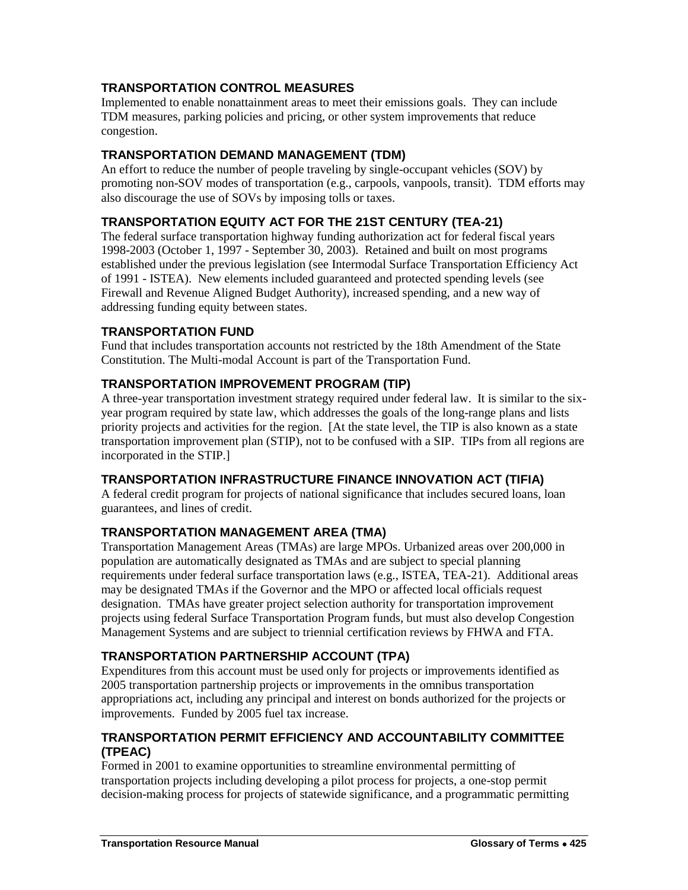## **TRANSPORTATION CONTROL MEASURES**

Implemented to enable nonattainment areas to meet their emissions goals. They can include TDM measures, parking policies and pricing, or other system improvements that reduce congestion.

## **TRANSPORTATION DEMAND MANAGEMENT (TDM)**

An effort to reduce the number of people traveling by single-occupant vehicles (SOV) by promoting non-SOV modes of transportation (e.g., carpools, vanpools, transit). TDM efforts may also discourage the use of SOVs by imposing tolls or taxes.

## **TRANSPORTATION EQUITY ACT FOR THE 21ST CENTURY (TEA-21)**

The federal surface transportation highway funding authorization act for federal fiscal years 1998-2003 (October 1, 1997 - September 30, 2003). Retained and built on most programs established under the previous legislation (see Intermodal Surface Transportation Efficiency Act of 1991 - ISTEA). New elements included guaranteed and protected spending levels (see Firewall and Revenue Aligned Budget Authority), increased spending, and a new way of addressing funding equity between states.

## **TRANSPORTATION FUND**

Fund that includes transportation accounts not restricted by the 18th Amendment of the State Constitution. The Multi-modal Account is part of the Transportation Fund.

## **TRANSPORTATION IMPROVEMENT PROGRAM (TIP)**

A three-year transportation investment strategy required under federal law. It is similar to the sixyear program required by state law, which addresses the goals of the long-range plans and lists priority projects and activities for the region. [At the state level, the TIP is also known as a state transportation improvement plan (STIP), not to be confused with a SIP. TIPs from all regions are incorporated in the STIP.]

## **TRANSPORTATION INFRASTRUCTURE FINANCE INNOVATION ACT (TIFIA)**

A federal credit program for projects of national significance that includes secured loans, loan guarantees, and lines of credit.

## **TRANSPORTATION MANAGEMENT AREA (TMA)**

Transportation Management Areas (TMAs) are large MPOs. Urbanized areas over 200,000 in population are automatically designated as TMAs and are subject to special planning requirements under federal surface transportation laws (e.g., ISTEA, TEA-21). Additional areas may be designated TMAs if the Governor and the MPO or affected local officials request designation. TMAs have greater project selection authority for transportation improvement projects using federal Surface Transportation Program funds, but must also develop Congestion Management Systems and are subject to triennial certification reviews by FHWA and FTA.

## **TRANSPORTATION PARTNERSHIP ACCOUNT (TPA)**

Expenditures from this account must be used only for projects or improvements identified as 2005 transportation partnership projects or improvements in the omnibus transportation appropriations act, including any principal and interest on bonds authorized for the projects or improvements. Funded by 2005 fuel tax increase.

## **TRANSPORTATION PERMIT EFFICIENCY AND ACCOUNTABILITY COMMITTEE (TPEAC)**

Formed in 2001 to examine opportunities to streamline environmental permitting of transportation projects including developing a pilot process for projects, a one-stop permit decision-making process for projects of statewide significance, and a programmatic permitting